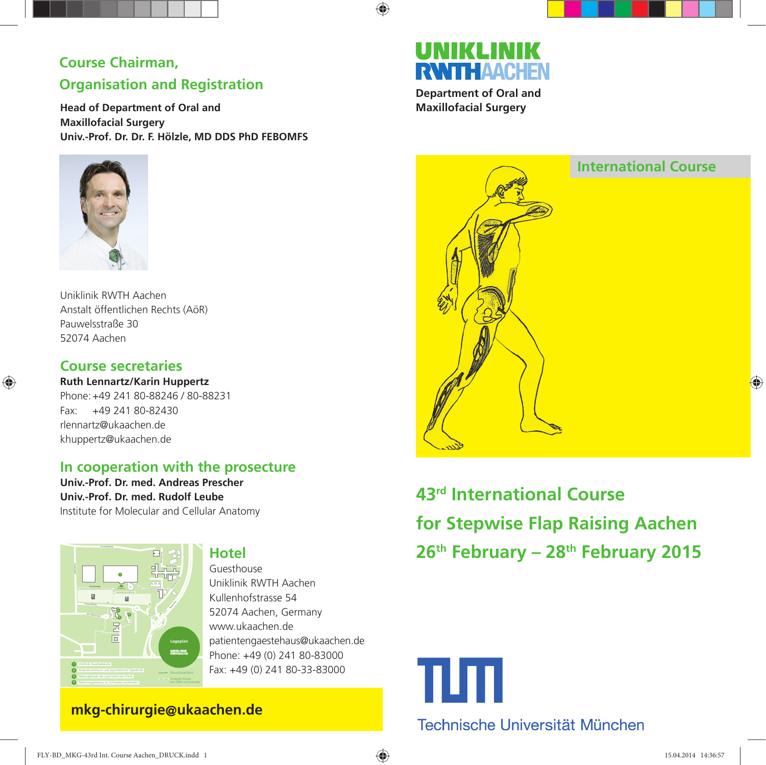## **Course Chairman, Organisation and Registration**

**Head of Department of Oral and Maxillofacial Surgery Univ.-Prof. Dr. Dr. F. Hölzle, MD DDS PhD FEBOMFS**



Uniklinik RWTH Aachen Anstalt öffentlichen Rechts (AöR) Pauwelsstraße 30 52074 Aachen

## **Course secretaries**

⊕

**Ruth Lennartz/Karin Huppertz** Phone: +49 241 80-88246 / 80-88231 Fax: +49 241 80-82430 rlennartz@ukaachen.de khuppertz@ukaachen.de

### **In cooperation with the prosecture**

**Univ.-Prof. Dr. med. Andreas Prescher Univ.-Prof. Dr. med. Rudolf Leube** Institute for Molecular and Cellular Anatomy



## **Hotel**

Guesthouse Uniklinik RWTH Aachen Kullenhofstrasse 54 52074 Aachen, Germany www.ukaachen.de patientengaestehaus@ukaachen.de Phone: +49 (0) 241 80-83000 Fax: +49 (0) 241 80-33-83000

## **mkg-chirurgie@ukaachen.de**

# UNIKLIN **RWITHAACHEN**

 $\bigoplus$ 

**Department of Oral and Maxillofacial Surgery**



**43rd International Course for Stepwise Flap Raising Aachen 26th February – 28th February 2015**